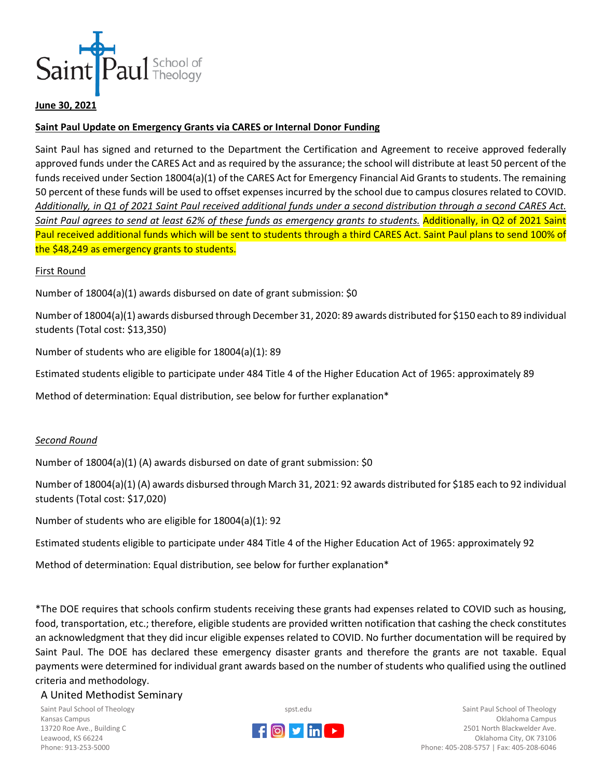

### **June 30, 2021**

## **Saint Paul Update on Emergency Grants via CARES or Internal Donor Funding**

Saint Paul has signed and returned to the Department the Certification and Agreement to receive approved federally approved funds under the CARES Act and as required by the assurance; the school will distribute at least 50 percent of the funds received under Section 18004(a)(1) of the CARES Act for Emergency Financial Aid Grants to students. The remaining 50 percent of these funds will be used to offset expenses incurred by the school due to campus closures related to COVID. *Additionally, in Q1 of 2021 Saint Paul received additional funds under a second distribution through a second CARES Act. Saint Paul agrees to send at least 62% of these funds as emergency grants to students.* Additionally, in Q2 of 2021 Saint Paul received additional funds which will be sent to students through a third CARES Act. Saint Paul plans to send 100% of the \$48,249 as emergency grants to students.

### First Round

Number of 18004(a)(1) awards disbursed on date of grant submission: \$0

Number of 18004(a)(1) awards disbursed through December 31, 2020: 89 awards distributed for \$150 each to 89 individual students (Total cost: \$13,350)

Number of students who are eligible for 18004(a)(1): 89

Estimated students eligible to participate under 484 Title 4 of the Higher Education Act of 1965: approximately 89

Method of determination: Equal distribution, see below for further explanation\*

### *Second Round*

Number of 18004(a)(1) (A) awards disbursed on date of grant submission: \$0

Number of 18004(a)(1) (A) awards disbursed through March 31, 2021: 92 awards distributed for \$185 each to 92 individual students (Total cost: \$17,020)

Number of students who are eligible for 18004(a)(1): 92

Estimated students eligible to participate under 484 Title 4 of the Higher Education Act of 1965: approximately 92

Method of determination: Equal distribution, see below for further explanation\*

\*The DOE requires that schools confirm students receiving these grants had expenses related to COVID such as housing, food, transportation, etc.; therefore, eligible students are provided written notification that cashing the check constitutes an acknowledgment that they did incur eligible expenses related to COVID. No further documentation will be required by Saint Paul. The DOE has declared these emergency disaster grants and therefore the grants are not taxable. Equal payments were determined for individual grant awards based on the number of students who qualified using the outlined criteria and methodology.

#### A United Methodist Seminary

Saint Paul School of Theology Kansas Campus 13720 Roe Ave., Building C Leawood, KS 66224 Phone: 913-253-5000



spst.edu

Saint Paul School of Theology Oklahoma Campus 2501 North Blackwelder Ave. Oklahoma City, OK 73106 Phone: 405-208-5757 | Fax: 405-208-6046